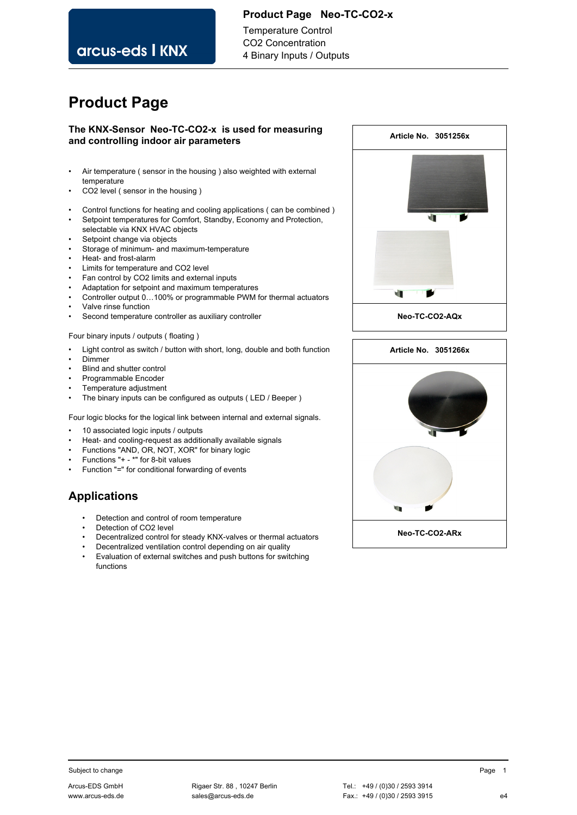### **Product Page Neo-TC-CO2-x**

arcus-eds I KNX

Temperature Control CO2 Concentration 4 Binary Inputs / Outputs

# **Product Page**

### **The KNX-Sensor Neo-TC-CO2-x is used for measuring and controlling indoor air parameters**

- Air temperature ( sensor in the housing ) also weighted with external temperature
- CO2 level ( sensor in the housing )
- Control functions for heating and cooling applications ( can be combined )
- Setpoint temperatures for Comfort, Standby, Economy and Protection, selectable via KNX HVAC objects
- Setpoint change via objects
- Storage of minimum- and maximum-temperature
- Heat- and frost-alarm
- Limits for temperature and CO2 level
- Fan control by CO2 limits and external inputs
- Adaptation for setpoint and maximum temperatures
- Controller output 0…100% or programmable PWM for thermal actuators
- Valve rinse function
- Second temperature controller as auxiliary controller
- Four binary inputs / outputs ( floating )
- Light control as switch / button with short, long, double and both function
- **Dimmer**
- Blind and shutter control
- Programmable Encoder
- Temperature adjustment
- The binary inputs can be configured as outputs ( LED / Beeper )

Four logic blocks for the logical link between internal and external signals.

- 10 associated logic inputs / outputs
- Heat- and cooling-request as additionally available signals
- Functions "AND, OR, NOT, XOR" for binary logic
- Functions "+ \*" for 8-bit values
- Function "=" for conditional forwarding of events

# **Applications**

- Detection and control of room temperature
- Detection of CO2 level
- Decentralized control for steady KNX-valves or thermal actuators
- Decentralized ventilation control depending on air quality
- Evaluation of external switches and push buttons for switching functions



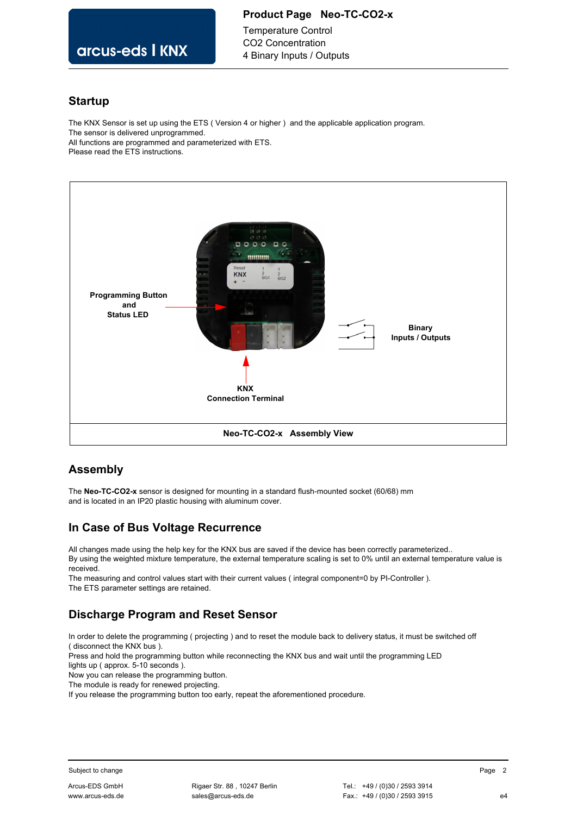### **Product Page Neo-TC-CO2-x**

arcus-eds I KNX

### Temperature Control CO2 Concentration 4 Binary Inputs / Outputs

### **Startup**

The KNX Sensor is set up using the ETS ( Version 4 or higher ) and the applicable application program. The sensor is delivered unprogrammed. All functions are programmed and parameterized with ETS. Please read the ETS instructions.



# **Assembly**

The **Neo-TC-CO2-x** sensor is designed for mounting in a standard flush-mounted socket (60/68) mm and is located in an IP20 plastic housing with aluminum cover.

# **In Case of Bus Voltage Recurrence**

All changes made using the help key for the KNX bus are saved if the device has been correctly parameterized.. By using the weighted mixture temperature, the external temperature scaling is set to 0% until an external temperature value is received.

The measuring and control values start with their current values ( integral component=0 by PI-Controller ). The ETS parameter settings are retained.

# **Discharge Program and Reset Sensor**

In order to delete the programming ( projecting ) and to reset the module back to delivery status, it must be switched off ( disconnect the KNX bus ).

Press and hold the programming button while reconnecting the KNX bus and wait until the programming LED

lights up ( approx. 5-10 seconds ).

Now you can release the programming button.

The module is ready for renewed projecting.

If you release the programming button too early, repeat the aforementioned procedure.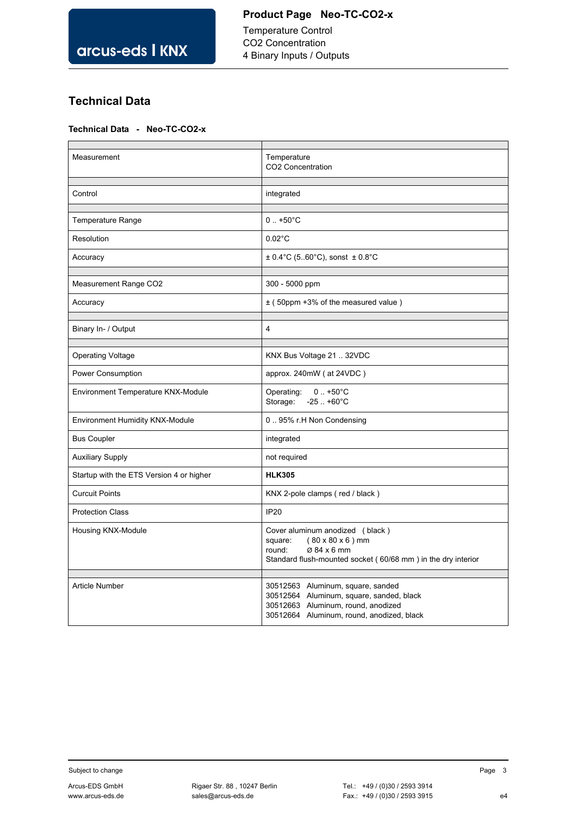# **Technical Data**

### **Technical Data - Neo-TC-CO2-x**

| Measurement                              | Temperature<br>CO2 Concentration                                                                                                                                    |
|------------------------------------------|---------------------------------------------------------------------------------------------------------------------------------------------------------------------|
| Control                                  | integrated                                                                                                                                                          |
|                                          |                                                                                                                                                                     |
| <b>Temperature Range</b>                 | $0.1 + 50^{\circ}C$                                                                                                                                                 |
| Resolution                               | $0.02^{\circ}$ C                                                                                                                                                    |
| Accuracy                                 | $\pm$ 0.4°C (560°C), sonst $\pm$ 0.8°C                                                                                                                              |
| <b>Measurement Range CO2</b>             | 300 - 5000 ppm                                                                                                                                                      |
|                                          |                                                                                                                                                                     |
| Accuracy                                 | ± (50ppm +3% of the measured value)                                                                                                                                 |
|                                          |                                                                                                                                                                     |
| Binary In- / Output                      | $\overline{4}$                                                                                                                                                      |
| <b>Operating Voltage</b>                 | KNX Bus Voltage 21  32VDC                                                                                                                                           |
| <b>Power Consumption</b>                 | approx. 240mW (at 24VDC)                                                                                                                                            |
| Environment Temperature KNX-Module       | $0.1 + 50^{\circ}C$<br>Operating:<br>$-25. +60^{\circ}C$<br>Storage:                                                                                                |
| <b>Environment Humidity KNX-Module</b>   | 095% r.H Non Condensing                                                                                                                                             |
| <b>Bus Coupler</b>                       | integrated                                                                                                                                                          |
| <b>Auxiliary Supply</b>                  | not required                                                                                                                                                        |
| Startup with the ETS Version 4 or higher | <b>HLK305</b>                                                                                                                                                       |
| <b>Curcuit Points</b>                    | KNX 2-pole clamps (red / black)                                                                                                                                     |
| <b>Protection Class</b>                  | <b>IP20</b>                                                                                                                                                         |
| Housing KNX-Module                       | Cover aluminum anodized (black)<br>square:<br>$(80 \times 80 \times 6)$ mm<br>round:<br>Ø 84 x 6 mm<br>Standard flush-mounted socket (60/68 mm) in the dry interior |
| <b>Article Number</b>                    | 30512563 Aluminum, square, sanded<br>30512564 Aluminum, square, sanded, black<br>30512663 Aluminum, round, anodized<br>30512664 Aluminum, round, anodized, black    |